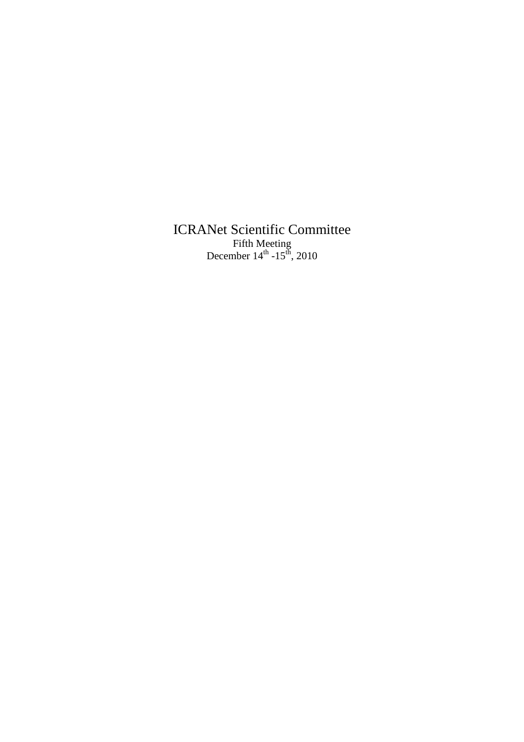ICRANet Scientific Committee Fifth Meeting December  $14^{th}$  -15<sup>th</sup>, 2010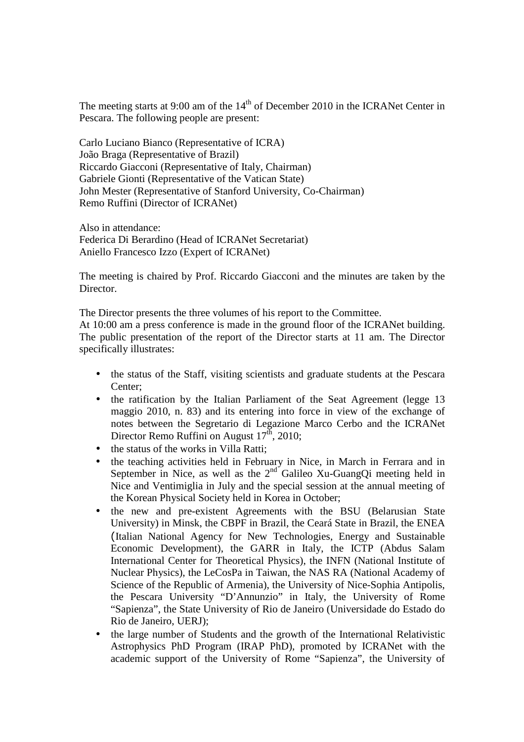The meeting starts at 9:00 am of the  $14<sup>th</sup>$  of December 2010 in the ICRANet Center in Pescara. The following people are present:

Carlo Luciano Bianco (Representative of ICRA) João Braga (Representative of Brazil) Riccardo Giacconi (Representative of Italy, Chairman) Gabriele Gionti (Representative of the Vatican State) John Mester (Representative of Stanford University, Co-Chairman) Remo Ruffini (Director of ICRANet)

Also in attendance: Federica Di Berardino (Head of ICRANet Secretariat) Aniello Francesco Izzo (Expert of ICRANet)

The meeting is chaired by Prof. Riccardo Giacconi and the minutes are taken by the Director.

The Director presents the three volumes of his report to the Committee.

At 10:00 am a press conference is made in the ground floor of the ICRANet building. The public presentation of the report of the Director starts at 11 am. The Director specifically illustrates:

- the status of the Staff, visiting scientists and graduate students at the Pescara Center;
- the ratification by the Italian Parliament of the Seat Agreement (legge 13 maggio 2010, n. 83) and its entering into force in view of the exchange of notes between the Segretario di Legazione Marco Cerbo and the ICRANet Director Remo Ruffini on August  $17^{\text{th}}$ , 2010;
- the status of the works in Villa Ratti:
- the teaching activities held in February in Nice, in March in Ferrara and in September in Nice, as well as the  $2<sup>nd</sup>$  Galileo Xu-GuangQi meeting held in Nice and Ventimiglia in July and the special session at the annual meeting of the Korean Physical Society held in Korea in October;
- the new and pre-existent Agreements with the BSU (Belarusian State University) in Minsk, the CBPF in Brazil, the Ceará State in Brazil, the ENEA (Italian National Agency for New Technologies, Energy and Sustainable Economic Development), the GARR in Italy, the ICTP (Abdus Salam International Center for Theoretical Physics), the INFN (National Institute of Nuclear Physics), the LeCosPa in Taiwan, the NAS RA (National Academy of Science of the Republic of Armenia), the University of Nice-Sophia Antipolis, the Pescara University "D'Annunzio" in Italy, the University of Rome "Sapienza", the State University of Rio de Janeiro (Universidade do Estado do Rio de Janeiro, UERJ);
- the large number of Students and the growth of the International Relativistic Astrophysics PhD Program (IRAP PhD), promoted by ICRANet with the academic support of the University of Rome "Sapienza", the University of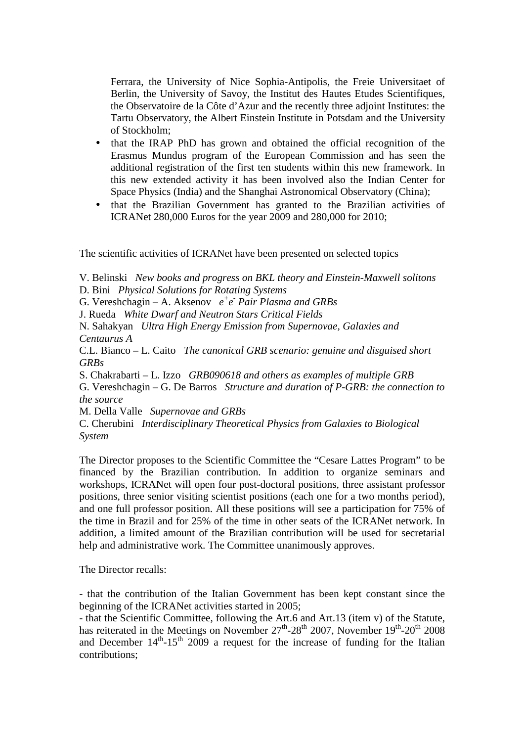Ferrara, the University of Nice Sophia-Antipolis, the Freie Universitaet of Berlin, the University of Savoy, the Institut des Hautes Etudes Scientifiques, the Observatoire de la Côte d'Azur and the recently three adjoint Institutes: the Tartu Observatory, the Albert Einstein Institute in Potsdam and the University of Stockholm;

- that the IRAP PhD has grown and obtained the official recognition of the Erasmus Mundus program of the European Commission and has seen the additional registration of the first ten students within this new framework. In this new extended activity it has been involved also the Indian Center for Space Physics (India) and the Shanghai Astronomical Observatory (China);
- that the Brazilian Government has granted to the Brazilian activities of ICRANet 280,000 Euros for the year 2009 and 280,000 for 2010;

The scientific activities of ICRANet have been presented on selected topics

V. Belinski *New books and progress on BKL theory and Einstein-Maxwell solitons* 

D. Bini *Physical Solutions for Rotating Systems* 

G. Vereshchagin – A. Aksenov  $e^+e^-$  Pair Plasma and GRBs

J. Rueda *White Dwarf and Neutron Stars Critical Fields* 

N. Sahakyan *Ultra High Energy Emission from Supernovae, Galaxies and Centaurus A* 

C.L. Bianco – L. Caito *The canonical GRB scenario: genuine and disguised short GRBs* 

S. Chakrabarti – L. Izzo *GRB090618 and others as examples of multiple GRB* 

G. Vereshchagin – G. De Barros *Structure and duration of P-GRB: the connection to the source* 

M. Della Valle *Supernovae and GRBs* 

C. Cherubini *Interdisciplinary Theoretical Physics from Galaxies to Biological System* 

The Director proposes to the Scientific Committee the "Cesare Lattes Program" to be financed by the Brazilian contribution. In addition to organize seminars and workshops, ICRANet will open four post-doctoral positions, three assistant professor positions, three senior visiting scientist positions (each one for a two months period), and one full professor position. All these positions will see a participation for 75% of the time in Brazil and for 25% of the time in other seats of the ICRANet network. In addition, a limited amount of the Brazilian contribution will be used for secretarial help and administrative work. The Committee unanimously approves.

The Director recalls:

- that the contribution of the Italian Government has been kept constant since the beginning of the ICRANet activities started in 2005;

- that the Scientific Committee, following the Art.6 and Art.13 (item v) of the Statute, has reiterated in the Meetings on November  $27<sup>th</sup> - 28<sup>th</sup>$  2007, November  $19<sup>th</sup> - 20<sup>th</sup>$  2008 and December  $14<sup>th</sup>$ -15<sup>th</sup> 2009 a request for the increase of funding for the Italian contributions;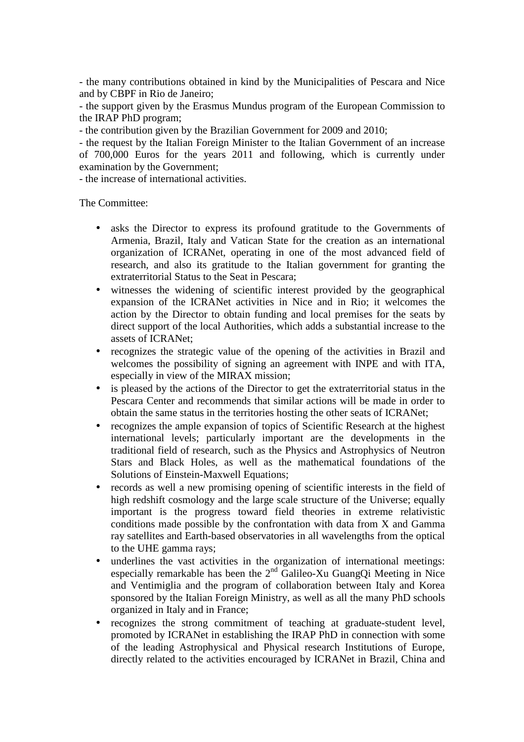- the many contributions obtained in kind by the Municipalities of Pescara and Nice and by CBPF in Rio de Janeiro;

- the support given by the Erasmus Mundus program of the European Commission to the IRAP PhD program;

- the contribution given by the Brazilian Government for 2009 and 2010;

- the request by the Italian Foreign Minister to the Italian Government of an increase of 700,000 Euros for the years 2011 and following, which is currently under examination by the Government;

- the increase of international activities.

The Committee:

- asks the Director to express its profound gratitude to the Governments of Armenia, Brazil, Italy and Vatican State for the creation as an international organization of ICRANet, operating in one of the most advanced field of research, and also its gratitude to the Italian government for granting the extraterritorial Status to the Seat in Pescara;
- witnesses the widening of scientific interest provided by the geographical expansion of the ICRANet activities in Nice and in Rio; it welcomes the action by the Director to obtain funding and local premises for the seats by direct support of the local Authorities, which adds a substantial increase to the assets of ICRANet;
- recognizes the strategic value of the opening of the activities in Brazil and welcomes the possibility of signing an agreement with INPE and with ITA, especially in view of the MIRAX mission;
- is pleased by the actions of the Director to get the extraterritorial status in the Pescara Center and recommends that similar actions will be made in order to obtain the same status in the territories hosting the other seats of ICRANet;
- recognizes the ample expansion of topics of Scientific Research at the highest international levels; particularly important are the developments in the traditional field of research, such as the Physics and Astrophysics of Neutron Stars and Black Holes, as well as the mathematical foundations of the Solutions of Einstein-Maxwell Equations;
- records as well a new promising opening of scientific interests in the field of high redshift cosmology and the large scale structure of the Universe; equally important is the progress toward field theories in extreme relativistic conditions made possible by the confrontation with data from X and Gamma ray satellites and Earth-based observatories in all wavelengths from the optical to the UHE gamma rays;
- underlines the vast activities in the organization of international meetings: especially remarkable has been the  $2<sup>nd</sup>$  Galileo-Xu GuangQi Meeting in Nice and Ventimiglia and the program of collaboration between Italy and Korea sponsored by the Italian Foreign Ministry, as well as all the many PhD schools organized in Italy and in France;
- recognizes the strong commitment of teaching at graduate-student level, promoted by ICRANet in establishing the IRAP PhD in connection with some of the leading Astrophysical and Physical research Institutions of Europe, directly related to the activities encouraged by ICRANet in Brazil, China and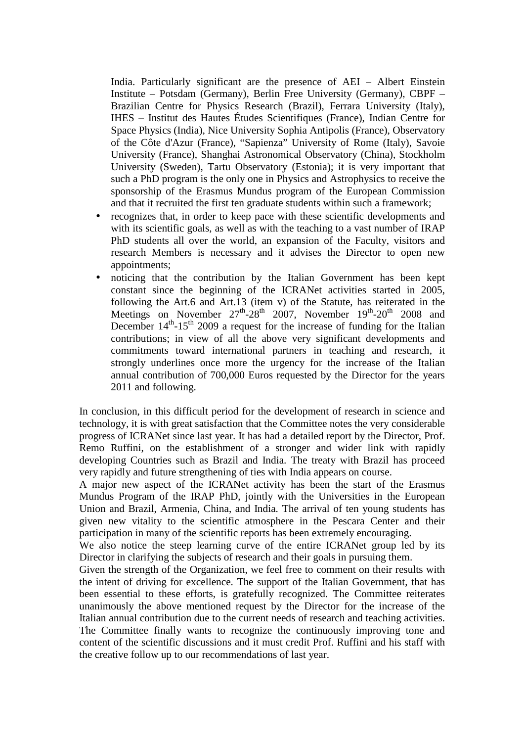India. Particularly significant are the presence of AEI – Albert Einstein Institute – Potsdam (Germany), Berlin Free University (Germany), CBPF – Brazilian Centre for Physics Research (Brazil), Ferrara University (Italy), IHES – Institut des Hautes Études Scientifiques (France), Indian Centre for Space Physics (India), Nice University Sophia Antipolis (France), Observatory of the Côte d'Azur (France), "Sapienza" University of Rome (Italy), Savoie University (France), Shanghai Astronomical Observatory (China), Stockholm University (Sweden), Tartu Observatory (Estonia); it is very important that such a PhD program is the only one in Physics and Astrophysics to receive the sponsorship of the Erasmus Mundus program of the European Commission and that it recruited the first ten graduate students within such a framework;

- recognizes that, in order to keep pace with these scientific developments and with its scientific goals, as well as with the teaching to a vast number of IRAP PhD students all over the world, an expansion of the Faculty, visitors and research Members is necessary and it advises the Director to open new appointments;
- noticing that the contribution by the Italian Government has been kept constant since the beginning of the ICRANet activities started in 2005, following the Art.6 and Art.13 (item v) of the Statute, has reiterated in the Meetings on November  $27^{\text{th}}-28^{\text{th}}$  2007, November  $19^{\text{th}}-20^{\text{th}}$  2008 and December  $14<sup>th</sup>$ -15<sup>th</sup> 2009 a request for the increase of funding for the Italian contributions; in view of all the above very significant developments and commitments toward international partners in teaching and research, it strongly underlines once more the urgency for the increase of the Italian annual contribution of 700,000 Euros requested by the Director for the years 2011 and following.

In conclusion, in this difficult period for the development of research in science and technology, it is with great satisfaction that the Committee notes the very considerable progress of ICRANet since last year. It has had a detailed report by the Director, Prof. Remo Ruffini, on the establishment of a stronger and wider link with rapidly developing Countries such as Brazil and India. The treaty with Brazil has proceed very rapidly and future strengthening of ties with India appears on course.

A major new aspect of the ICRANet activity has been the start of the Erasmus Mundus Program of the IRAP PhD, jointly with the Universities in the European Union and Brazil, Armenia, China, and India. The arrival of ten young students has given new vitality to the scientific atmosphere in the Pescara Center and their participation in many of the scientific reports has been extremely encouraging.

We also notice the steep learning curve of the entire ICRANet group led by its Director in clarifying the subjects of research and their goals in pursuing them.

Given the strength of the Organization, we feel free to comment on their results with the intent of driving for excellence. The support of the Italian Government, that has been essential to these efforts, is gratefully recognized. The Committee reiterates unanimously the above mentioned request by the Director for the increase of the Italian annual contribution due to the current needs of research and teaching activities. The Committee finally wants to recognize the continuously improving tone and content of the scientific discussions and it must credit Prof. Ruffini and his staff with the creative follow up to our recommendations of last year.